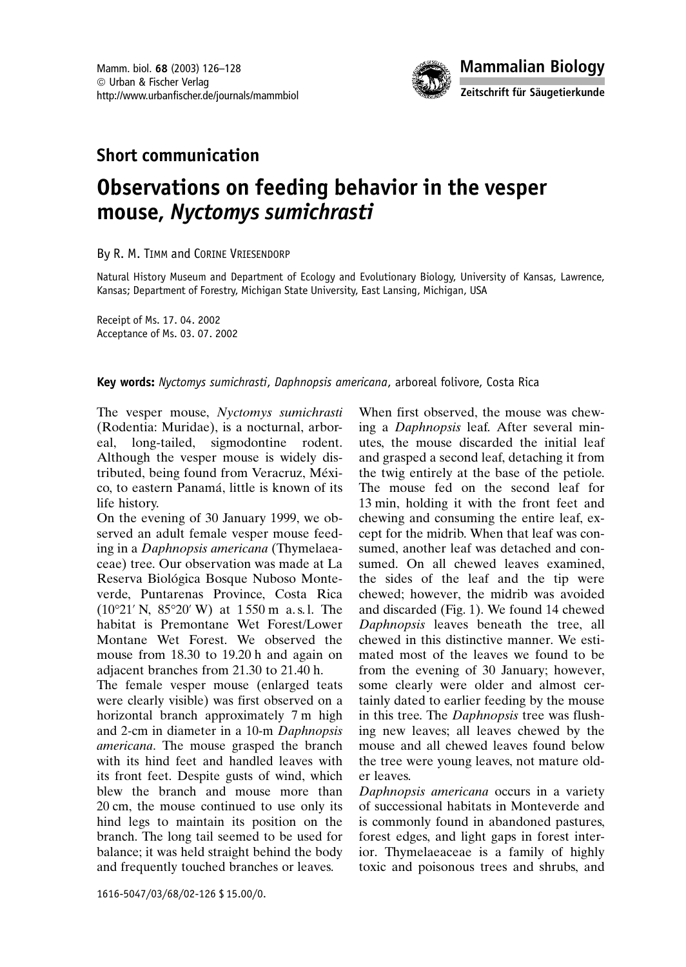

# **Short communication**

# Observations on feeding behavior in the vesper mouse, Nyctomys sumichrasti

#### By R. M. TIMM and CORINE VRIESENDORP

Natural History Museum and Department of Ecology and Evolutionary Biology, University of Kansas, Lawrence, Kansas; Department of Forestry, Michigan State University, East Lansing, Michigan, USA

Receipt of Ms. 17.04.2002 Acceptance of Ms. 03. 07. 2002

#### Key words: Nyctomys sumichrasti, Daphnopsis americana, arboreal folivore, Costa Rica

The vesper mouse, Nyctomys sumichrasti (Rodentia: Muridae), is a nocturnal, arborlong-tailed, sigmodontine rodent. eal, Although the vesper mouse is widely distributed, being found from Veracruz, México, to eastern Panamá, little is known of its life history.

On the evening of 30 January 1999, we observed an adult female vesper mouse feeding in a Daphnopsis americana (Thymelaeaceae) tree. Our observation was made at La Reserva Biológica Bosque Nuboso Monteverde, Puntarenas Province, Costa Rica  $(10^{\circ}21' \text{ N}, 85^{\circ}20' \text{ W})$  at 1550 m a.s.l. The habitat is Premontane Wet Forest/Lower Montane Wet Forest. We observed the mouse from 18.30 to 19.20 h and again on adjacent branches from 21.30 to 21.40 h.

The female vesper mouse (enlarged teats were clearly visible) was first observed on a horizontal branch approximately 7 m high and 2-cm in diameter in a 10-m Daphnopsis americana. The mouse grasped the branch with its hind feet and handled leaves with its front feet. Despite gusts of wind, which blew the branch and mouse more than 20 cm, the mouse continued to use only its hind legs to maintain its position on the branch. The long tail seemed to be used for balance; it was held straight behind the body and frequently touched branches or leaves.

When first observed, the mouse was chewing a *Daphnopsis* leaf. After several minutes, the mouse discarded the initial leaf and grasped a second leaf, detaching it from the twig entirely at the base of the petiole. The mouse fed on the second leaf for 13 min, holding it with the front feet and chewing and consuming the entire leaf, except for the midrib. When that leaf was consumed, another leaf was detached and consumed. On all chewed leaves examined, the sides of the leaf and the tip were chewed: however, the midrib was avoided and discarded (Fig. 1). We found 14 chewed Daphnopsis leaves beneath the tree, all chewed in this distinctive manner. We estimated most of the leaves we found to be from the evening of 30 January; however, some clearly were older and almost certainly dated to earlier feeding by the mouse in this tree. The *Daphnopsis* tree was flushing new leaves; all leaves chewed by the mouse and all chewed leaves found below the tree were young leaves, not mature older leaves.

Daphnopsis americana occurs in a variety of successional habitats in Monteverde and is commonly found in abandoned pastures, forest edges, and light gaps in forest interior. Thymelaeaceae is a family of highly toxic and poisonous trees and shrubs, and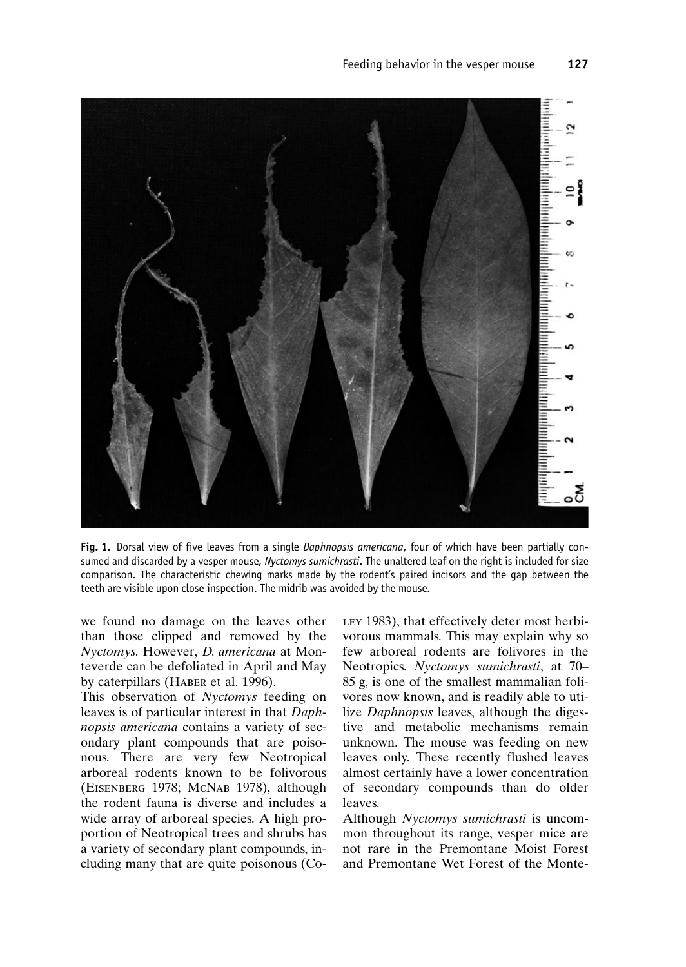

Fig. 1. Dorsal view of five leaves from a single Daphnopsis americana, four of which have been partially consumed and discarded by a vesper mouse, Nyctomys sumichrasti. The unaltered leaf on the right is included for size comparison. The characteristic chewing marks made by the rodent's paired incisors and the gap between the teeth are visible upon close inspection. The midrib was avoided by the mouse.

we found no damage on the leaves other than those clipped and removed by the Nyctomys. However, D. americana at Monteverde can be defoliated in April and May by caterpillars (HABER et al. 1996).

This observation of Nyctomys feeding on leaves is of particular interest in that Daphnopsis americana contains a variety of secondary plant compounds that are poisonous. There are very few Neotropical arboreal rodents known to be folivorous (EISENBERG 1978; McNAB 1978), although the rodent fauna is diverse and includes a wide array of arboreal species. A high proportion of Neotropical trees and shrubs has a variety of secondary plant compounds, including many that are quite poisonous (CoLEY 1983), that effectively deter most herbivorous mammals. This may explain why so few arboreal rodents are folivores in the Neotropics. Nyctomys sumichrasti, at 70-85 g, is one of the smallest mammalian folivores now known, and is readily able to utilize Daphnopsis leaves, although the digestive and metabolic mechanisms remain unknown. The mouse was feeding on new leaves only. These recently flushed leaves almost certainly have a lower concentration of secondary compounds than do older leaves.

Although Nyctomys sumichrasti is uncommon throughout its range, vesper mice are not rare in the Premontane Moist Forest and Premontane Wet Forest of the Monte